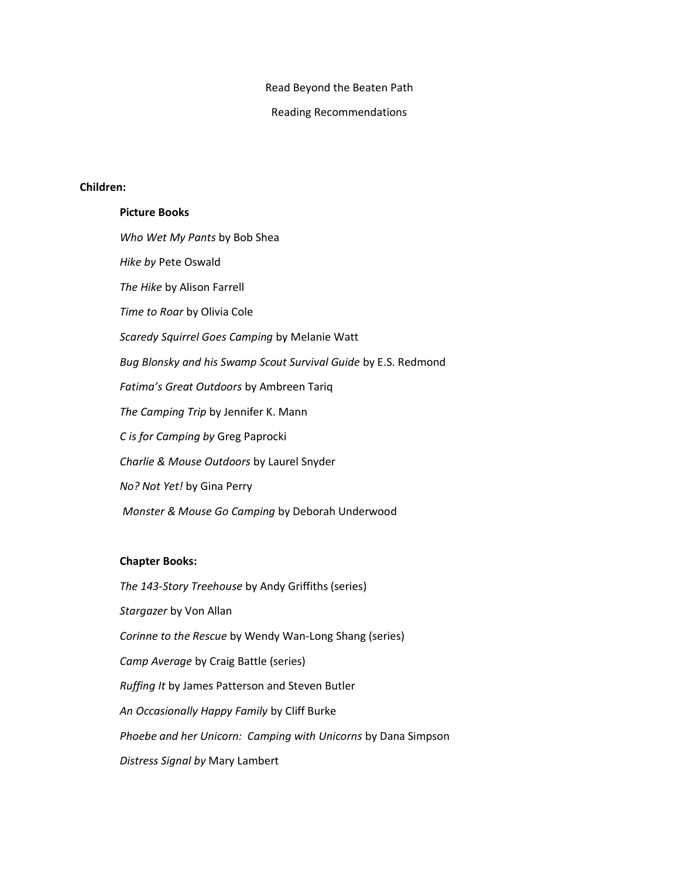Read Beyond the Beaten Path

Reading Recommendations

#### **Children:**

**Picture Books** *Who Wet My Pants* by Bob Shea *Hike by* Pete Oswald *The Hike* by Alison Farrell *Time to Roar* by Olivia Cole *Scaredy Squirrel Goes Camping* by Melanie Watt *Bug Blonsky and his Swamp Scout Survival Guide* by E.S. Redmond *Fatima's Great Outdoors* by Ambreen Tariq *The Camping Trip* by Jennifer K. Mann *C is for Camping by* Greg Paprocki *Charlie & Mouse Outdoors* by Laurel Snyder *No? Not Yet!* by Gina Perry *Monster & Mouse Go Camping* by Deborah Underwood

### **Chapter Books:**

*The 143-Story Treehouse* by Andy Griffiths (series) *Stargazer* by Von Allan *Corinne to the Rescue* by Wendy Wan-Long Shang (series) *Camp Average* by Craig Battle (series) *Ruffing It* by James Patterson and Steven Butler *An Occasionally Happy Family* by Cliff Burke *Phoebe and her Unicorn: Camping with Unicorns* by Dana Simpson *Distress Signal by* Mary Lambert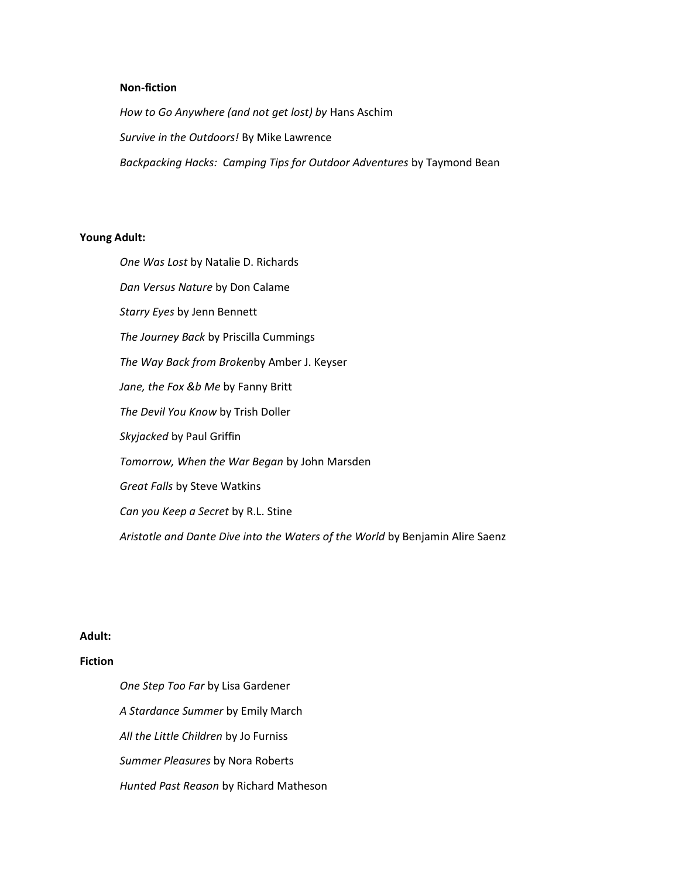#### **Non-fiction**

*How to Go Anywhere (and not get lost) by* Hans Aschim *Survive in the Outdoors!* By Mike Lawrence *Backpacking Hacks: Camping Tips for Outdoor Adventures* by Taymond Bean

## **Young Adult:**

*One Was Lost* by Natalie D. Richards *Dan Versus Nature* by Don Calame *Starry Eyes* by Jenn Bennett *The Journey Back* by Priscilla Cummings *The Way Back from Broken*by Amber J. Keyser *Jane, the Fox &b Me* by Fanny Britt *The Devil You Know* by Trish Doller *Skyjacked* by Paul Griffin *Tomorrow, When the War Began* by John Marsden *Great Falls* by Steve Watkins *Can you Keep a Secret* by R.L. Stine *Aristotle and Dante Dive into the Waters of the World* by Benjamin Alire Saenz

### **Adult:**

# **Fiction**

*One Step Too Far* by Lisa Gardener *A Stardance Summer* by Emily March *All the Little Children* by Jo Furniss *Summer Pleasures* by Nora Roberts *Hunted Past Reason* by Richard Matheson